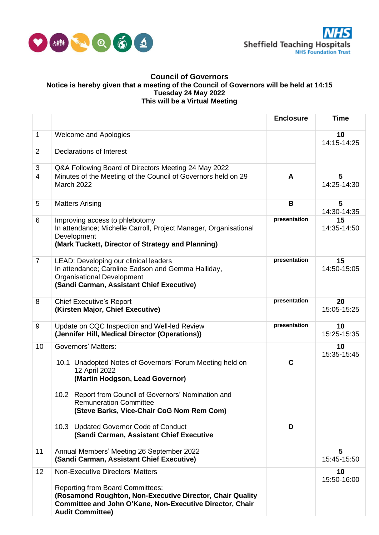

## **Council of Governors Notice is hereby given that a meeting of the Council of Governors will be held at 14:15 Tuesday 24 May 2022 This will be a Virtual Meeting**

|                |                                                                                                                                                                                             | <b>Enclosure</b> | Time              |
|----------------|---------------------------------------------------------------------------------------------------------------------------------------------------------------------------------------------|------------------|-------------------|
| 1              | <b>Welcome and Apologies</b>                                                                                                                                                                |                  | 10<br>14:15-14:25 |
| $\overline{2}$ | Declarations of Interest                                                                                                                                                                    |                  |                   |
| 3              | Q&A Following Board of Directors Meeting 24 May 2022                                                                                                                                        |                  |                   |
| $\overline{4}$ | Minutes of the Meeting of the Council of Governors held on 29<br><b>March 2022</b>                                                                                                          | A                | 5<br>14:25-14:30  |
| 5              | <b>Matters Arising</b>                                                                                                                                                                      | B                | 5<br>14:30-14:35  |
| 6              | Improving access to phlebotomy<br>In attendance; Michelle Carroll, Project Manager, Organisational<br>Development<br>(Mark Tuckett, Director of Strategy and Planning)                      | presentation     | 15<br>14:35-14:50 |
| $\overline{7}$ | LEAD: Developing our clinical leaders<br>In attendance; Caroline Eadson and Gemma Halliday,<br><b>Organisational Development</b><br>(Sandi Carman, Assistant Chief Executive)               | presentation     | 15<br>14:50-15:05 |
| 8              | <b>Chief Executive's Report</b><br>(Kirsten Major, Chief Executive)                                                                                                                         | presentation     | 20<br>15:05-15:25 |
| 9              | Update on CQC Inspection and Well-led Review<br>(Jennifer Hill, Medical Director (Operations))                                                                                              | presentation     | 10<br>15:25-15:35 |
| 10             | <b>Governors' Matters:</b><br>10.1 Unadopted Notes of Governors' Forum Meeting held on<br>12 April 2022<br>(Martin Hodgson, Lead Governor)                                                  | $\mathbf c$      | 10<br>15:35-15:45 |
|                | 10.2 Report from Council of Governors' Nomination and<br><b>Remuneration Committee</b><br>(Steve Barks, Vice-Chair CoG Nom Rem Com)                                                         |                  |                   |
|                | 10.3 Updated Governor Code of Conduct<br>(Sandi Carman, Assistant Chief Executive                                                                                                           | D                |                   |
| 11             | Annual Members' Meeting 26 September 2022<br>(Sandi Carman, Assistant Chief Executive)                                                                                                      |                  | 5<br>15:45-15:50  |
| 12             | <b>Non-Executive Directors' Matters</b>                                                                                                                                                     |                  | 10<br>15:50-16:00 |
|                | <b>Reporting from Board Committees:</b><br>(Rosamond Roughton, Non-Executive Director, Chair Quality<br>Committee and John O'Kane, Non-Executive Director, Chair<br><b>Audit Committee)</b> |                  |                   |